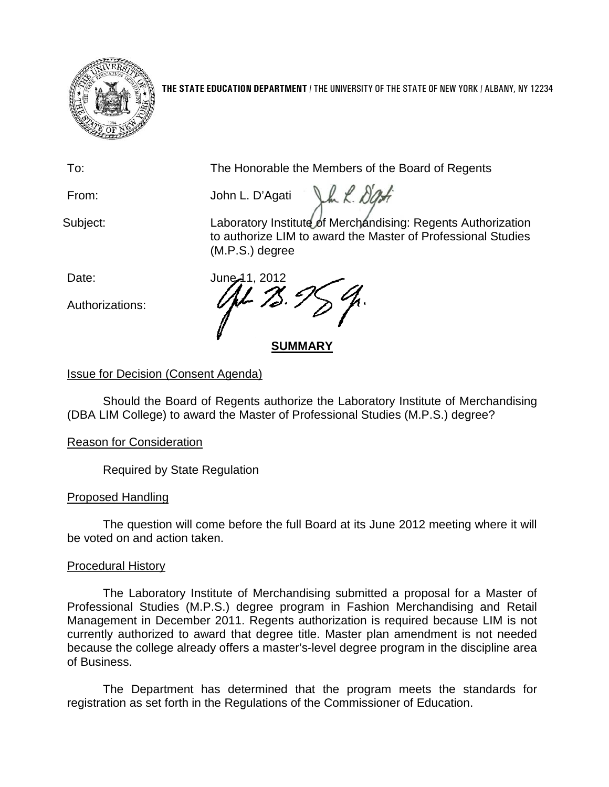

**THE STATE EDUCATION DEPARTMENT** / THE UNIVERSITY OF THE STATE OF NEW YORK / ALBANY, NY 12234

To: The Honorable the Members of the Board of Regents

Jh L. Dat From: John L. D'Agati

Subject: Laboratory Institute of Merchandising: Regents Authorization to authorize LIM to award the Master of Professional Studies (M.P.S.) degree

Authorizations:

Date: **June 11, 2012** 

**SUMMARY**

# Issue for Decision (Consent Agenda)

Should the Board of Regents authorize the Laboratory Institute of Merchandising (DBA LIM College) to award the Master of Professional Studies (M.P.S.) degree?

## Reason for Consideration

Required by State Regulation

# Proposed Handling

The question will come before the full Board at its June 2012 meeting where it will be voted on and action taken.

## Procedural History

The Laboratory Institute of Merchandising submitted a proposal for a Master of Professional Studies (M.P.S.) degree program in Fashion Merchandising and Retail Management in December 2011. Regents authorization is required because LIM is not currently authorized to award that degree title. Master plan amendment is not needed because the college already offers a master's-level degree program in the discipline area of Business.

The Department has determined that the program meets the standards for registration as set forth in the Regulations of the Commissioner of Education.